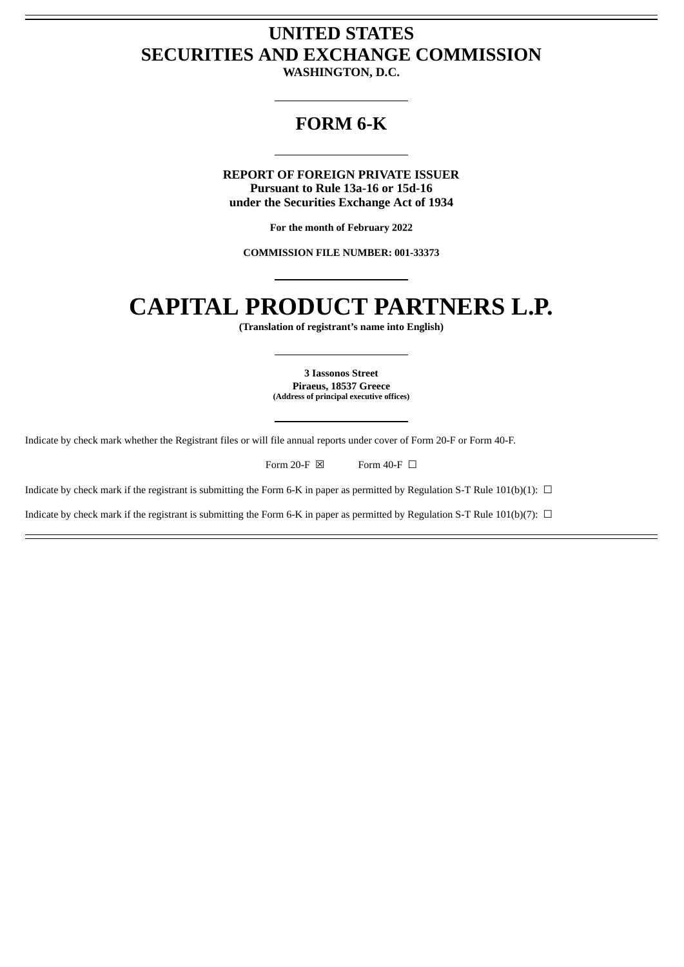## **UNITED STATES SECURITIES AND EXCHANGE COMMISSION**

**WASHINGTON, D.C.**

## **FORM 6-K**

**REPORT OF FOREIGN PRIVATE ISSUER Pursuant to Rule 13a-16 or 15d-16 under the Securities Exchange Act of 1934**

**For the month of February 2022**

**COMMISSION FILE NUMBER: 001-33373**

# **CAPITAL PRODUCT PARTNERS L.P.**

**(Translation of registrant's name into English)**

**3 Iassonos Street Piraeus, 18537 Greece (Address of principal executive offices)**

Indicate by check mark whether the Registrant files or will file annual reports under cover of Form 20-F or Form 40-F.

Form 20-F  $\boxtimes$  Form 40-F  $\Box$ 

Indicate by check mark if the registrant is submitting the Form 6-K in paper as permitted by Regulation S-T Rule 101(b)(1):  $\Box$ 

Indicate by check mark if the registrant is submitting the Form 6-K in paper as permitted by Regulation S-T Rule 101(b)(7):  $\Box$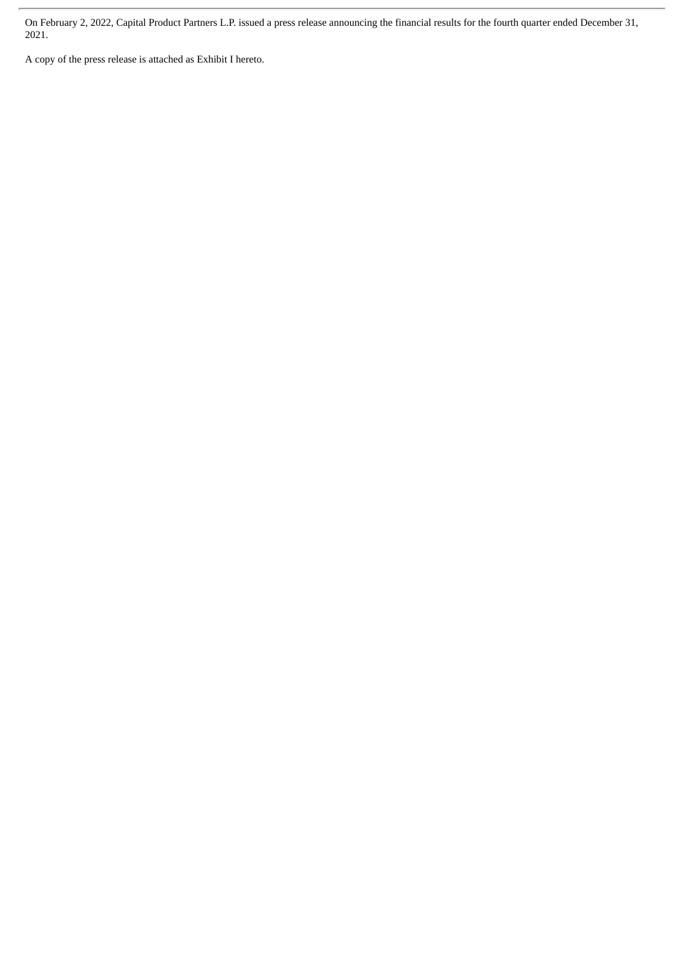On February 2, 2022, Capital Product Partners L.P. issued a press release announcing the financial results for the fourth quarter ended December 31, 2021.

A copy of the press release is attached as Exhibit I hereto.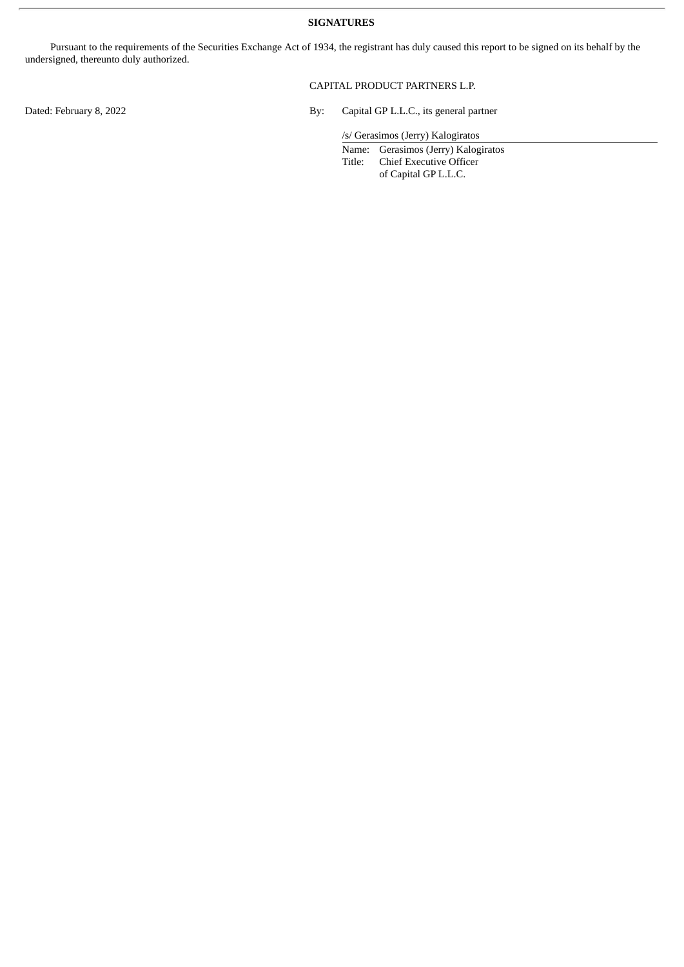#### **SIGNATURES**

Pursuant to the requirements of the Securities Exchange Act of 1934, the registrant has duly caused this report to be signed on its behalf by the undersigned, thereunto duly authorized.

#### CAPITAL PRODUCT PARTNERS L.P.

Dated: February 8, 2022 <br>By: Capital GP L.L.C., its general partner

/s/ Gerasimos (Jerry) Kalogiratos

Name: Gerasimos (Jerry) Kalogiratos<br>Title: Chief Executive Officer Chief Executive Officer of Capital GP L.L.C.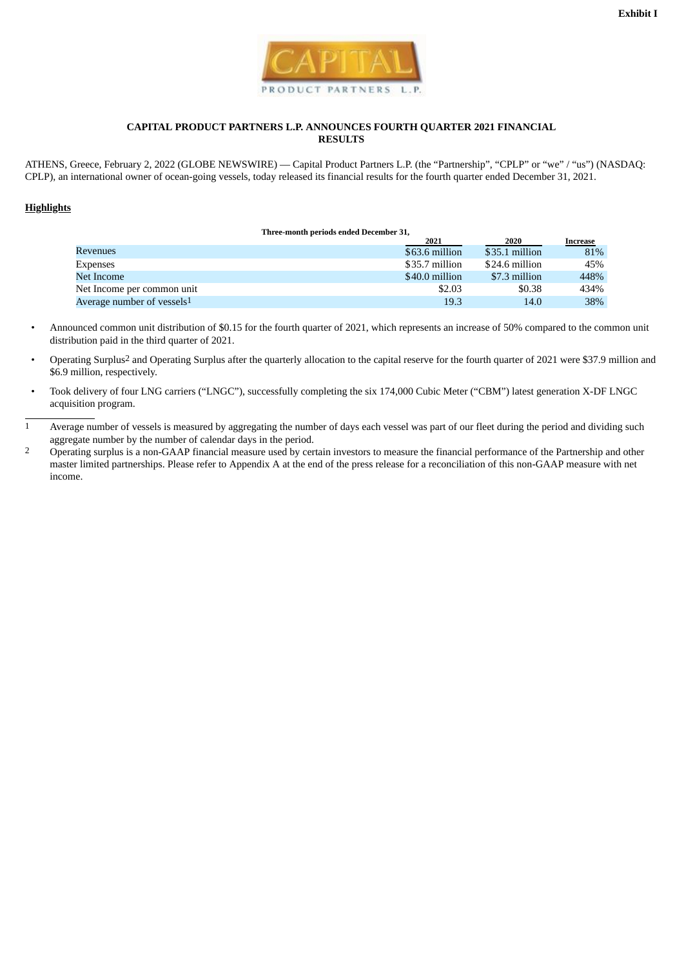

#### **CAPITAL PRODUCT PARTNERS L.P. ANNOUNCES FOURTH QUARTER 2021 FINANCIAL RESULTS**

ATHENS, Greece, February 2, 2022 (GLOBE NEWSWIRE) — Capital Product Partners L.P. (the "Partnership", "CPLP" or "we" / "us") (NASDAQ: CPLP), an international owner of ocean-going vessels, today released its financial results for the fourth quarter ended December 31, 2021.

#### **Highlights**

| THree-month periods ended December 31, |  |                |                |          |  |  |  |
|----------------------------------------|--|----------------|----------------|----------|--|--|--|
|                                        |  | 2021           | 2020           | Increase |  |  |  |
| Revenues                               |  | \$63.6 million | \$35.1 million | 81%      |  |  |  |
| Expenses                               |  | \$35.7 million | \$24.6 million | 45%      |  |  |  |
| Net Income                             |  | \$40.0 million | \$7.3 million  | 448%     |  |  |  |
| Net Income per common unit             |  | \$2.03         | \$0.38         | 434%     |  |  |  |
| Average number of vessels <sup>1</sup> |  | 19.3           | 14.0           | 38%      |  |  |  |
|                                        |  |                |                |          |  |  |  |

**Three-month periods ended December 31,**

- Announced common unit distribution of \$0.15 for the fourth quarter of 2021, which represents an increase of 50% compared to the common unit distribution paid in the third quarter of 2021.
- Operating Surplus2 and Operating Surplus after the quarterly allocation to the capital reserve for the fourth quarter of 2021 were \$37.9 million and \$6.9 million, respectively.
- Took delivery of four LNG carriers ("LNGC"), successfully completing the six 174,000 Cubic Meter ("CBM") latest generation X-DF LNGC acquisition program.
- 1 Average number of vessels is measured by aggregating the number of days each vessel was part of our fleet during the period and dividing such aggregate number by the number of calendar days in the period.
- <sup>2</sup> Operating surplus is a non-GAAP financial measure used by certain investors to measure the financial performance of the Partnership and other master limited partnerships. Please refer to Appendix A at the end of the press release for a reconciliation of this non-GAAP measure with net income.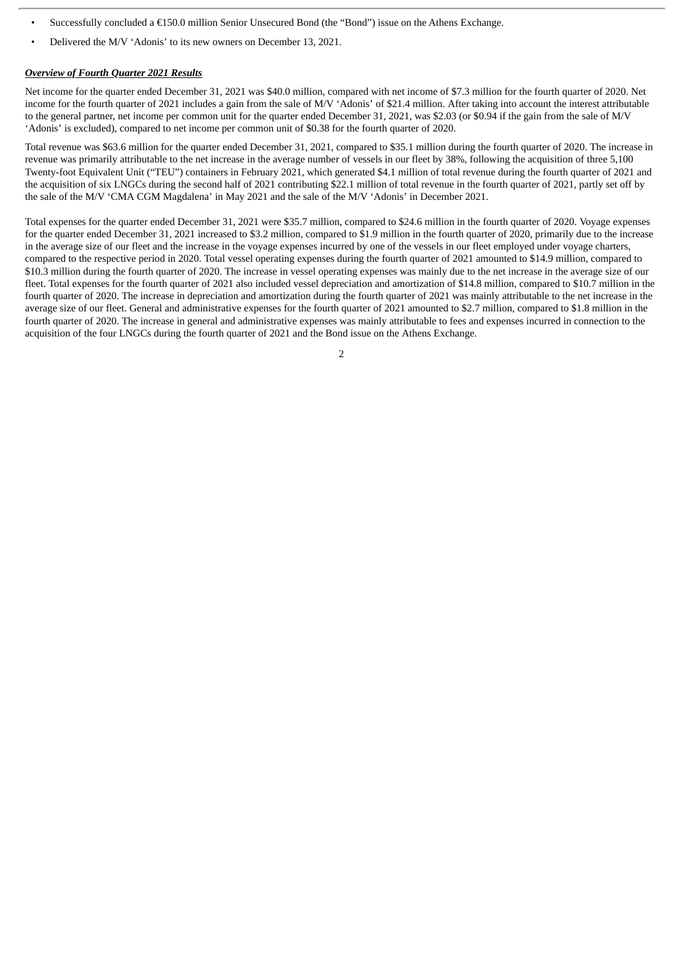- Successfully concluded a €150.0 million Senior Unsecured Bond (the "Bond") issue on the Athens Exchange.
- Delivered the M/V 'Adonis' to its new owners on December 13, 2021.

#### *Overview of Fourth Quarter 2021 Results*

Net income for the quarter ended December 31, 2021 was \$40.0 million, compared with net income of \$7.3 million for the fourth quarter of 2020. Net income for the fourth quarter of 2021 includes a gain from the sale of M/V 'Adonis' of \$21.4 million. After taking into account the interest attributable to the general partner, net income per common unit for the quarter ended December 31, 2021, was \$2.03 (or \$0.94 if the gain from the sale of M/V 'Adonis' is excluded), compared to net income per common unit of \$0.38 for the fourth quarter of 2020.

Total revenue was \$63.6 million for the quarter ended December 31, 2021, compared to \$35.1 million during the fourth quarter of 2020. The increase in revenue was primarily attributable to the net increase in the average number of vessels in our fleet by 38%, following the acquisition of three 5,100 Twenty-foot Equivalent Unit ("TEU") containers in February 2021, which generated \$4.1 million of total revenue during the fourth quarter of 2021 and the acquisition of six LNGCs during the second half of 2021 contributing \$22.1 million of total revenue in the fourth quarter of 2021, partly set off by the sale of the M/V 'CMA CGM Magdalena' in May 2021 and the sale of the M/V 'Adonis' in December 2021.

Total expenses for the quarter ended December 31, 2021 were \$35.7 million, compared to \$24.6 million in the fourth quarter of 2020. Voyage expenses for the quarter ended December 31, 2021 increased to \$3.2 million, compared to \$1.9 million in the fourth quarter of 2020, primarily due to the increase in the average size of our fleet and the increase in the voyage expenses incurred by one of the vessels in our fleet employed under voyage charters, compared to the respective period in 2020. Total vessel operating expenses during the fourth quarter of 2021 amounted to \$14.9 million, compared to \$10.3 million during the fourth quarter of 2020. The increase in vessel operating expenses was mainly due to the net increase in the average size of our fleet. Total expenses for the fourth quarter of 2021 also included vessel depreciation and amortization of \$14.8 million, compared to \$10.7 million in the fourth quarter of 2020. The increase in depreciation and amortization during the fourth quarter of 2021 was mainly attributable to the net increase in the average size of our fleet. General and administrative expenses for the fourth quarter of 2021 amounted to \$2.7 million, compared to \$1.8 million in the fourth quarter of 2020. The increase in general and administrative expenses was mainly attributable to fees and expenses incurred in connection to the acquisition of the four LNGCs during the fourth quarter of 2021 and the Bond issue on the Athens Exchange.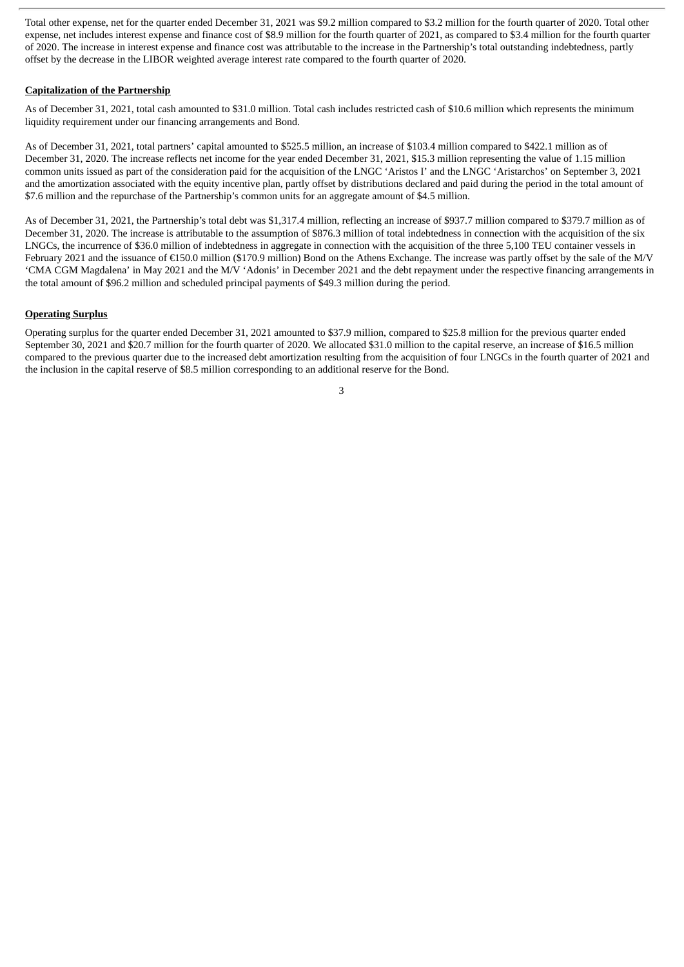Total other expense, net for the quarter ended December 31, 2021 was \$9.2 million compared to \$3.2 million for the fourth quarter of 2020. Total other expense, net includes interest expense and finance cost of \$8.9 million for the fourth quarter of 2021, as compared to \$3.4 million for the fourth quarter of 2020. The increase in interest expense and finance cost was attributable to the increase in the Partnership's total outstanding indebtedness, partly offset by the decrease in the LIBOR weighted average interest rate compared to the fourth quarter of 2020.

#### **Capitalization of the Partnership**

As of December 31, 2021, total cash amounted to \$31.0 million. Total cash includes restricted cash of \$10.6 million which represents the minimum liquidity requirement under our financing arrangements and Bond.

As of December 31, 2021, total partners' capital amounted to \$525.5 million, an increase of \$103.4 million compared to \$422.1 million as of December 31, 2020. The increase reflects net income for the year ended December 31, 2021, \$15.3 million representing the value of 1.15 million common units issued as part of the consideration paid for the acquisition of the LNGC 'Aristos I' and the LNGC 'Aristarchos' on September 3, 2021 and the amortization associated with the equity incentive plan, partly offset by distributions declared and paid during the period in the total amount of \$7.6 million and the repurchase of the Partnership's common units for an aggregate amount of \$4.5 million.

As of December 31, 2021, the Partnership's total debt was \$1,317.4 million, reflecting an increase of \$937.7 million compared to \$379.7 million as of December 31, 2020. The increase is attributable to the assumption of \$876.3 million of total indebtedness in connection with the acquisition of the six LNGCs, the incurrence of \$36.0 million of indebtedness in aggregate in connection with the acquisition of the three 5,100 TEU container vessels in February 2021 and the issuance of €150.0 million (\$170.9 million) Bond on the Athens Exchange. The increase was partly offset by the sale of the M/V 'CMA CGM Magdalena' in May 2021 and the M/V 'Adonis' in December 2021 and the debt repayment under the respective financing arrangements in the total amount of \$96.2 million and scheduled principal payments of \$49.3 million during the period.

#### **Operating Surplus**

Operating surplus for the quarter ended December 31, 2021 amounted to \$37.9 million, compared to \$25.8 million for the previous quarter ended September 30, 2021 and \$20.7 million for the fourth quarter of 2020. We allocated \$31.0 million to the capital reserve, an increase of \$16.5 million compared to the previous quarter due to the increased debt amortization resulting from the acquisition of four LNGCs in the fourth quarter of 2021 and the inclusion in the capital reserve of \$8.5 million corresponding to an additional reserve for the Bond.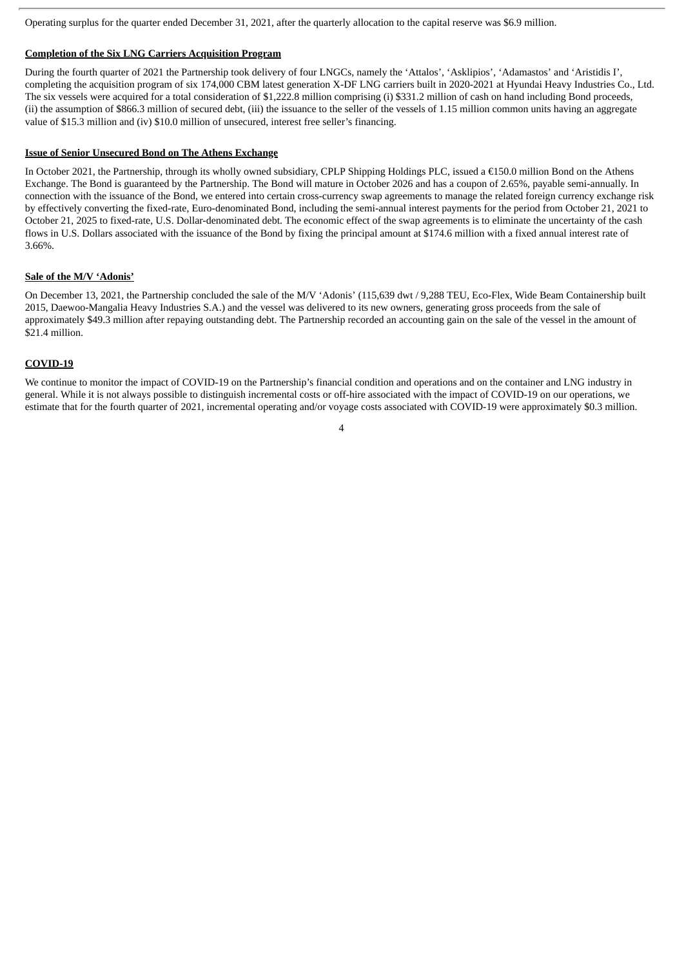Operating surplus for the quarter ended December 31, 2021, after the quarterly allocation to the capital reserve was \$6.9 million.

#### **Completion of the Six LNG Carriers Acquisition Program**

During the fourth quarter of 2021 the Partnership took delivery of four LNGCs, namely the 'Attalos', 'Asklipios', 'Adamastos' and 'Aristidis I', completing the acquisition program of six 174,000 CBM latest generation X-DF LNG carriers built in 2020-2021 at Hyundai Heavy Industries Co., Ltd. The six vessels were acquired for a total consideration of \$1,222.8 million comprising (i) \$331.2 million of cash on hand including Bond proceeds, (ii) the assumption of \$866.3 million of secured debt, (iii) the issuance to the seller of the vessels of 1.15 million common units having an aggregate value of \$15.3 million and (iv) \$10.0 million of unsecured, interest free seller's financing.

#### **Issue of Senior Unsecured Bond on The Athens Exchange**

In October 2021, the Partnership, through its wholly owned subsidiary, CPLP Shipping Holdings PLC, issued a €150.0 million Bond on the Athens Exchange. The Bond is guaranteed by the Partnership. The Bond will mature in October 2026 and has a coupon of 2.65%, payable semi-annually. In connection with the issuance of the Bond, we entered into certain cross-currency swap agreements to manage the related foreign currency exchange risk by effectively converting the fixed-rate, Euro-denominated Bond, including the semi-annual interest payments for the period from October 21, 2021 to October 21, 2025 to fixed-rate, U.S. Dollar-denominated debt. The economic effect of the swap agreements is to eliminate the uncertainty of the cash flows in U.S. Dollars associated with the issuance of the Bond by fixing the principal amount at \$174.6 million with a fixed annual interest rate of 3.66%.

#### **Sale of the M/V 'Adonis'**

On December 13, 2021, the Partnership concluded the sale of the M/V 'Adonis' (115,639 dwt / 9,288 TEU, Eco-Flex, Wide Beam Containership built 2015, Daewoo-Mangalia Heavy Industries S.A.) and the vessel was delivered to its new owners, generating gross proceeds from the sale of approximately \$49.3 million after repaying outstanding debt. The Partnership recorded an accounting gain on the sale of the vessel in the amount of \$21.4 million.

#### **COVID-19**

We continue to monitor the impact of COVID-19 on the Partnership's financial condition and operations and on the container and LNG industry in general. While it is not always possible to distinguish incremental costs or off-hire associated with the impact of COVID-19 on our operations, we estimate that for the fourth quarter of 2021, incremental operating and/or voyage costs associated with COVID-19 were approximately \$0.3 million.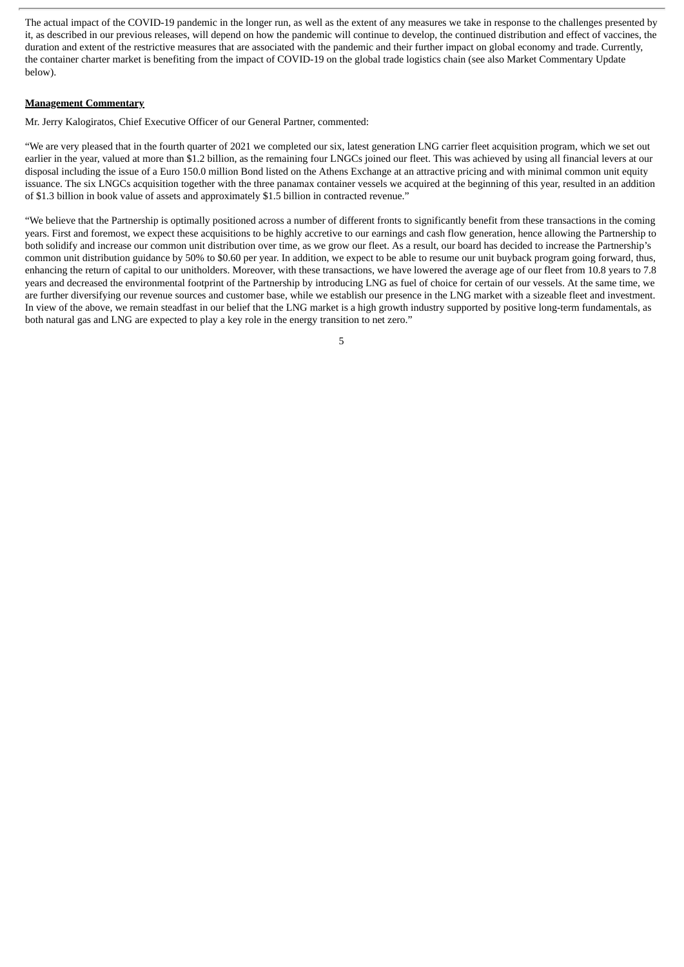The actual impact of the COVID-19 pandemic in the longer run, as well as the extent of any measures we take in response to the challenges presented by it, as described in our previous releases, will depend on how the pandemic will continue to develop, the continued distribution and effect of vaccines, the duration and extent of the restrictive measures that are associated with the pandemic and their further impact on global economy and trade. Currently, the container charter market is benefiting from the impact of COVID-19 on the global trade logistics chain (see also Market Commentary Update below).

#### **Management Commentary**

Mr. Jerry Kalogiratos, Chief Executive Officer of our General Partner, commented:

"We are very pleased that in the fourth quarter of 2021 we completed our six, latest generation LNG carrier fleet acquisition program, which we set out earlier in the year, valued at more than \$1.2 billion, as the remaining four LNGCs joined our fleet. This was achieved by using all financial levers at our disposal including the issue of a Euro 150.0 million Bond listed on the Athens Exchange at an attractive pricing and with minimal common unit equity issuance. The six LNGCs acquisition together with the three panamax container vessels we acquired at the beginning of this year, resulted in an addition of \$1.3 billion in book value of assets and approximately \$1.5 billion in contracted revenue."

"We believe that the Partnership is optimally positioned across a number of different fronts to significantly benefit from these transactions in the coming years. First and foremost, we expect these acquisitions to be highly accretive to our earnings and cash flow generation, hence allowing the Partnership to both solidify and increase our common unit distribution over time, as we grow our fleet. As a result, our board has decided to increase the Partnership's common unit distribution guidance by 50% to \$0.60 per year. In addition, we expect to be able to resume our unit buyback program going forward, thus, enhancing the return of capital to our unitholders. Moreover, with these transactions, we have lowered the average age of our fleet from 10.8 years to 7.8 years and decreased the environmental footprint of the Partnership by introducing LNG as fuel of choice for certain of our vessels. At the same time, we are further diversifying our revenue sources and customer base, while we establish our presence in the LNG market with a sizeable fleet and investment. In view of the above, we remain steadfast in our belief that the LNG market is a high growth industry supported by positive long-term fundamentals, as both natural gas and LNG are expected to play a key role in the energy transition to net zero."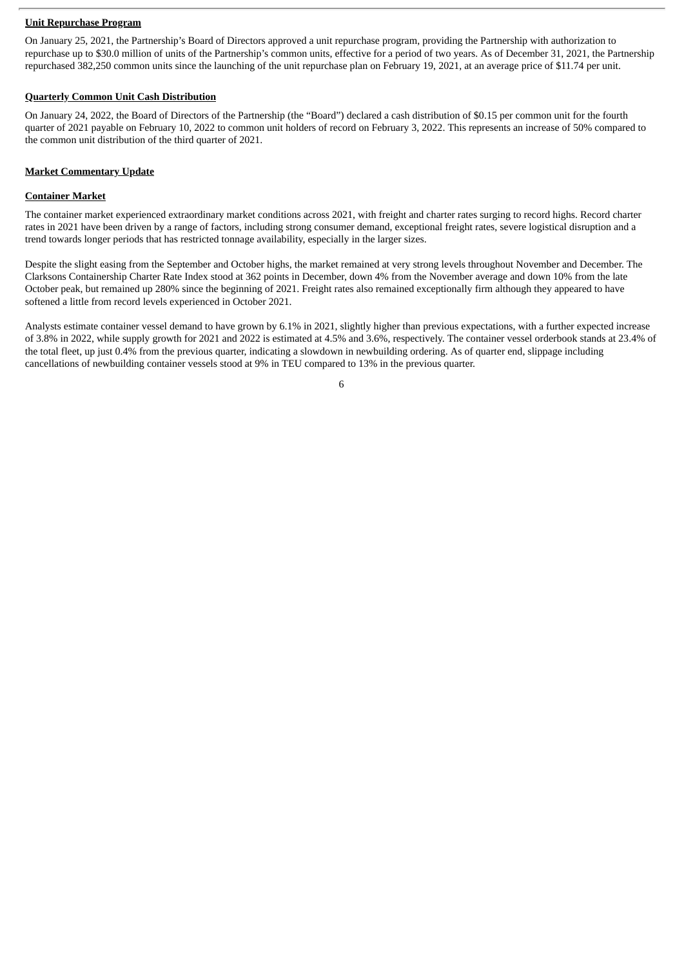#### **Unit Repurchase Program**

On January 25, 2021, the Partnership's Board of Directors approved a unit repurchase program, providing the Partnership with authorization to repurchase up to \$30.0 million of units of the Partnership's common units, effective for a period of two years. As of December 31, 2021, the Partnership repurchased 382,250 common units since the launching of the unit repurchase plan on February 19, 2021, at an average price of \$11.74 per unit.

#### **Quarterly Common Unit Cash Distribution**

On January 24, 2022, the Board of Directors of the Partnership (the "Board") declared a cash distribution of \$0.15 per common unit for the fourth quarter of 2021 payable on February 10, 2022 to common unit holders of record on February 3, 2022. This represents an increase of 50% compared to the common unit distribution of the third quarter of 2021.

#### **Market Commentary Update**

#### **Container Market**

The container market experienced extraordinary market conditions across 2021, with freight and charter rates surging to record highs. Record charter rates in 2021 have been driven by a range of factors, including strong consumer demand, exceptional freight rates, severe logistical disruption and a trend towards longer periods that has restricted tonnage availability, especially in the larger sizes.

Despite the slight easing from the September and October highs, the market remained at very strong levels throughout November and December. The Clarksons Containership Charter Rate Index stood at 362 points in December, down 4% from the November average and down 10% from the late October peak, but remained up 280% since the beginning of 2021. Freight rates also remained exceptionally firm although they appeared to have softened a little from record levels experienced in October 2021.

Analysts estimate container vessel demand to have grown by 6.1% in 2021, slightly higher than previous expectations, with a further expected increase of 3.8% in 2022, while supply growth for 2021 and 2022 is estimated at 4.5% and 3.6%, respectively. The container vessel orderbook stands at 23.4% of the total fleet, up just 0.4% from the previous quarter, indicating a slowdown in newbuilding ordering. As of quarter end, slippage including cancellations of newbuilding container vessels stood at 9% in TEU compared to 13% in the previous quarter.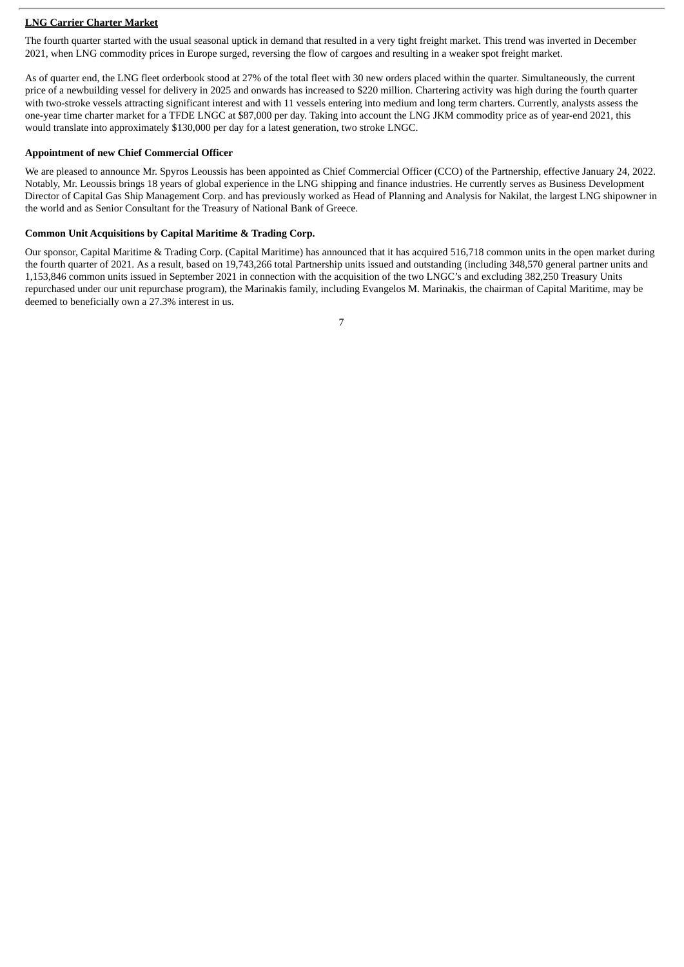#### **LNG Carrier Charter Market**

The fourth quarter started with the usual seasonal uptick in demand that resulted in a very tight freight market. This trend was inverted in December 2021, when LNG commodity prices in Europe surged, reversing the flow of cargoes and resulting in a weaker spot freight market.

As of quarter end, the LNG fleet orderbook stood at 27% of the total fleet with 30 new orders placed within the quarter. Simultaneously, the current price of a newbuilding vessel for delivery in 2025 and onwards has increased to \$220 million. Chartering activity was high during the fourth quarter with two-stroke vessels attracting significant interest and with 11 vessels entering into medium and long term charters. Currently, analysts assess the one-year time charter market for a TFDE LNGC at \$87,000 per day. Taking into account the LNG JKM commodity price as of year-end 2021, this would translate into approximately \$130,000 per day for a latest generation, two stroke LNGC.

#### **Appointment of new Chief Commercial Officer**

We are pleased to announce Mr. Spyros Leoussis has been appointed as Chief Commercial Officer (CCO) of the Partnership, effective January 24, 2022. Notably, Mr. Leoussis brings 18 years of global experience in the LNG shipping and finance industries. He currently serves as Business Development Director of Capital Gas Ship Management Corp. and has previously worked as Head of Planning and Analysis for Nakilat, the largest LNG shipowner in the world and as Senior Consultant for the Treasury of National Bank of Greece.

#### **Common Unit Acquisitions by Capital Maritime & Trading Corp.**

Our sponsor, Capital Maritime & Trading Corp. (Capital Maritime) has announced that it has acquired 516,718 common units in the open market during the fourth quarter of 2021. As a result, based on 19,743,266 total Partnership units issued and outstanding (including 348,570 general partner units and 1,153,846 common units issued in September 2021 in connection with the acquisition of the two LNGC's and excluding 382,250 Treasury Units repurchased under our unit repurchase program), the Marinakis family, including Evangelos M. Marinakis, the chairman of Capital Maritime, may be deemed to beneficially own a 27.3% interest in us.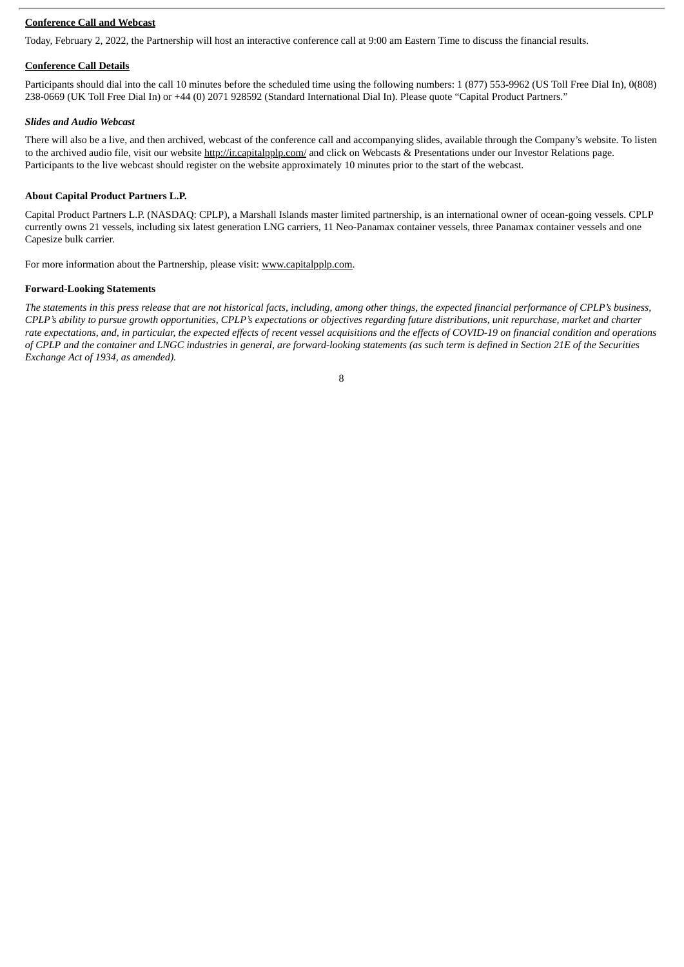#### **Conference Call and Webcast**

Today, February 2, 2022, the Partnership will host an interactive conference call at 9:00 am Eastern Time to discuss the financial results.

#### **Conference Call Details**

Participants should dial into the call 10 minutes before the scheduled time using the following numbers: 1 (877) 553-9962 (US Toll Free Dial In), 0(808) 238-0669 (UK Toll Free Dial In) or +44 (0) 2071 928592 (Standard International Dial In). Please quote "Capital Product Partners."

#### *Slides and Audio Webcast*

There will also be a live, and then archived, webcast of the conference call and accompanying slides, available through the Company's website. To listen to the archived audio file, visit our website http://ir.capitalpplp.com/ and click on Webcasts & Presentations under our Investor Relations page. Participants to the live webcast should register on the website approximately 10 minutes prior to the start of the webcast.

#### **About Capital Product Partners L.P.**

Capital Product Partners L.P. (NASDAQ: CPLP), a Marshall Islands master limited partnership, is an international owner of ocean-going vessels. CPLP currently owns 21 vessels, including six latest generation LNG carriers, 11 Neo-Panamax container vessels, three Panamax container vessels and one Capesize bulk carrier.

For more information about the Partnership, please visit: www.capitalpplp.com.

#### **Forward-Looking Statements**

The statements in this press release that are not historical facts, including, among other things, the expected financial performance of CPLP's business, CPLP's ability to pursue growth opportunities, CPLP's expectations or objectives regarding future distributions, unit repurchase, market and charter rate expectations, and, in particular, the expected effects of recent vessel acquisitions and the effects of COVID-19 on financial condition and operations of CPLP and the container and LNGC industries in general, are forward-looking statements (as such term is defined in Section 21E of the Securities *Exchange Act of 1934, as amended).*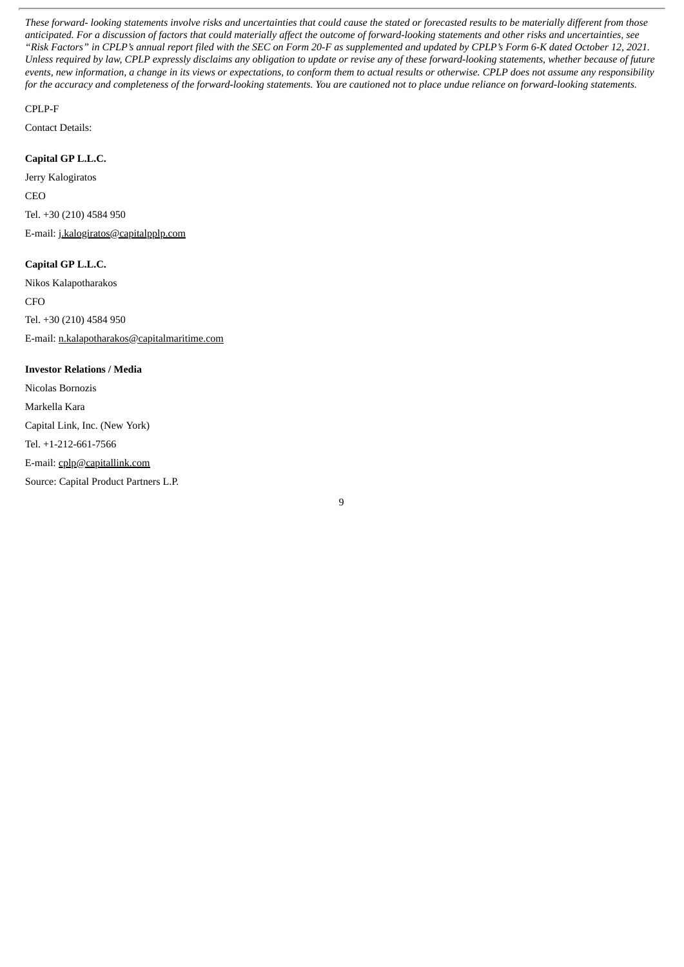These forward- looking statements involve risks and uncertainties that could cause the stated or forecasted results to be materially different from those anticipated. For a discussion of factors that could materially affect the outcome of forward-looking statements and other risks and uncertainties, see "Risk Factors" in CPLP's annual report filed with the SEC on Form 20-F as supplemented and updated by CPLP's Form 6-K dated October 12, 2021. Unless required by law, CPLP expressly disclaims any obligation to update or revise any of these forward-looking statements, whether because of future events, new information, a change in its views or expectations, to conform them to actual results or otherwise. CPLP does not assume any responsibility for the accuracy and completeness of the forward-looking statements. You are cautioned not to place undue reliance on forward-looking statements.

#### CPLP-F

Contact Details:

#### **Capital GP L.L.C.**

Jerry Kalogiratos CEO Tel. +30 (210) 4584 950 E-mail: j.kalogiratos@capitalpplp.com

#### **Capital GP L.L.C.**

Nikos Kalapotharakos **CFO** Tel. +30 (210) 4584 950 E-mail: n.kalapotharakos@capitalmaritime.com

#### **Investor Relations / Media**

Nicolas Bornozis Markella Kara Capital Link, Inc. (New York) Tel. +1-212-661-7566 E-mail: cplp@capitallink.com Source: Capital Product Partners L.P.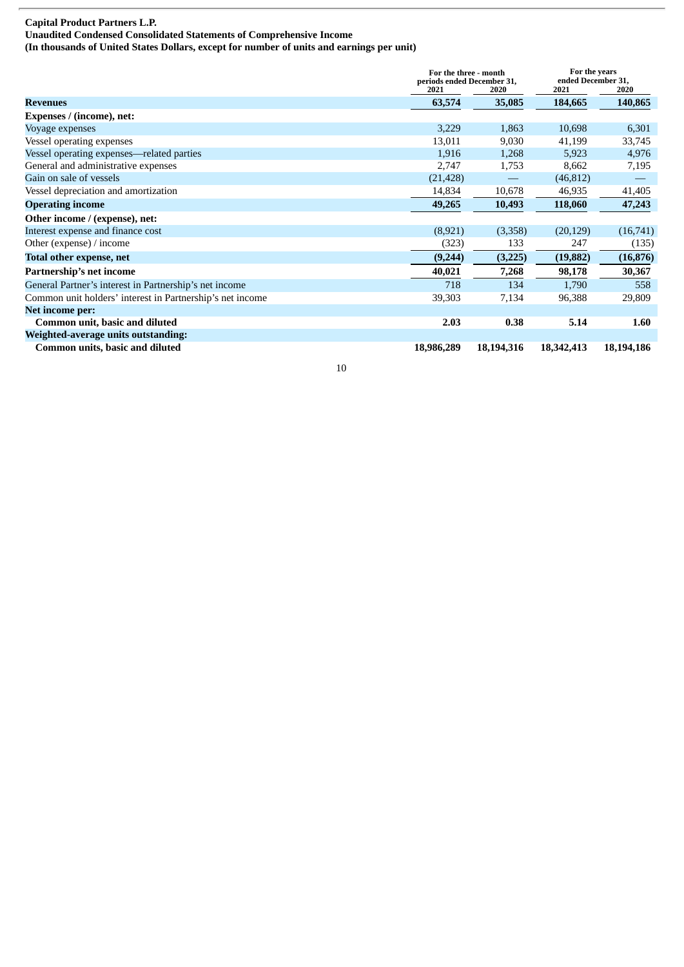### **Capital Product Partners L.P.**

**Unaudited Condensed Consolidated Statements of Comprehensive Income (In thousands of United States Dollars, except for number of units and earnings per unit)**

**For the three - month periods ended December 31, 2021 2020 2021 2020 For the years ended December 31, Revenues 63,574 35,085 184,665 140,865 Expenses / (income), net:** Voyage expenses 6,301 and the state of the state of the state of the state of the state of the state of the state of the state of the state of the state of the state of the state of the state of the state of the state of t Vessel operating expenses 33,745 Vessel operating expenses—related parties 1,916 1,916 1,268 5,923 4,976 General and administrative expenses 2,747 1,753 8,662 7,195 Gain on sale of vessels  $(21,428)$   $(46,812)$ Vessel depreciation and amortization 14,834 10,678 46,935 41,405 **Operating income 49,265 10,493 118,060 47,243 Other income / (expense), net:** Interest expense and finance cost (8,921) (3,358) (20,129) (16,741) Other (expense) / income (323) 133 247 (135) **Total other expense, net (9,244) (3,225) (19,882) (16,876) Partnership's net income 40,021 7,268 98,178 30,367** General Partner's interest in Partnership's net income 718 134 1,790 558 Common unit holders' interest in Partnership's net income 39,303 7,134 96,388 29,809 **Net income per: Common unit, basic and diluted 2.03 0.38 5.14 1.60 Weighted-average units outstanding: Common units, basic and diluted 18,986,289 18,194,316 18,342,413 18,194,186**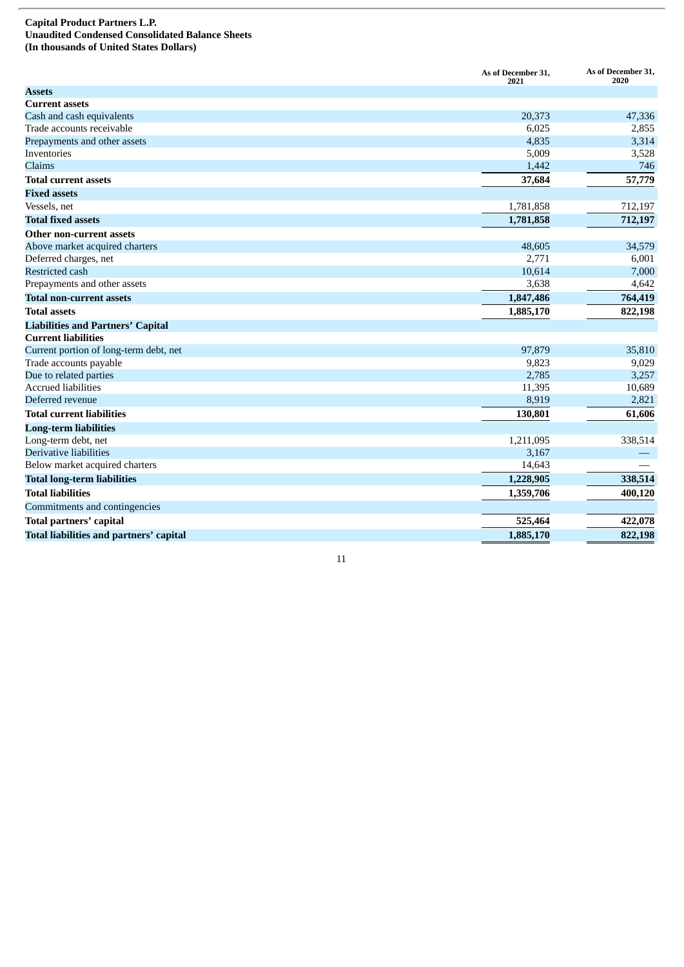#### **Capital Product Partners L.P. Unaudited Condensed Consolidated Balance Sheets** (In thousands of United States Dollars)

|                                          | As of December 31,<br>2021 | As of December 31,<br>2020 |
|------------------------------------------|----------------------------|----------------------------|
| <b>Assets</b>                            |                            |                            |
| <b>Current assets</b>                    |                            |                            |
| Cash and cash equivalents                | 20,373                     | 47,336                     |
| Trade accounts receivable                | 6,025                      | 2,855                      |
| Prepayments and other assets             | 4,835                      | 3,314                      |
| Inventories                              | 5,009                      | 3,528                      |
| Claims                                   | 1,442                      | 746                        |
| <b>Total current assets</b>              | 37,684                     | 57,779                     |
| <b>Fixed assets</b>                      |                            |                            |
| Vessels, net                             | 1,781,858                  | 712,197                    |
| <b>Total fixed assets</b>                | 1,781,858                  | 712,197                    |
| Other non-current assets                 |                            |                            |
| Above market acquired charters           | 48,605                     | 34,579                     |
| Deferred charges, net                    | 2,771                      | 6,001                      |
| Restricted cash                          | 10,614                     | 7,000                      |
| Prepayments and other assets             | 3,638                      | 4,642                      |
| <b>Total non-current assets</b>          | 1,847,486                  | 764,419                    |
| <b>Total assets</b>                      | 1,885,170                  | 822,198                    |
| <b>Liabilities and Partners' Capital</b> |                            |                            |
| <b>Current liabilities</b>               |                            |                            |
| Current portion of long-term debt, net   | 97,879                     | 35,810                     |
| Trade accounts payable                   | 9,823                      | 9,029                      |
| Due to related parties                   | 2,785                      | 3,257                      |
| <b>Accrued liabilities</b>               | 11,395                     | 10,689                     |
| Deferred revenue                         | 8,919                      | 2,821                      |
| <b>Total current liabilities</b>         | 130,801                    | 61,606                     |
| <b>Long-term liabilities</b>             |                            |                            |
| Long-term debt, net                      | 1,211,095                  | 338,514                    |
| Derivative liabilities                   | 3,167                      |                            |
| Below market acquired charters           | 14,643                     |                            |
| <b>Total long-term liabilities</b>       | 1,228,905                  | 338,514                    |
| <b>Total liabilities</b>                 | 1,359,706                  | 400,120                    |
| Commitments and contingencies            |                            |                            |
| Total partners' capital                  | 525,464                    | 422,078                    |
| Total liabilities and partners' capital  | 1,885,170                  | 822,198                    |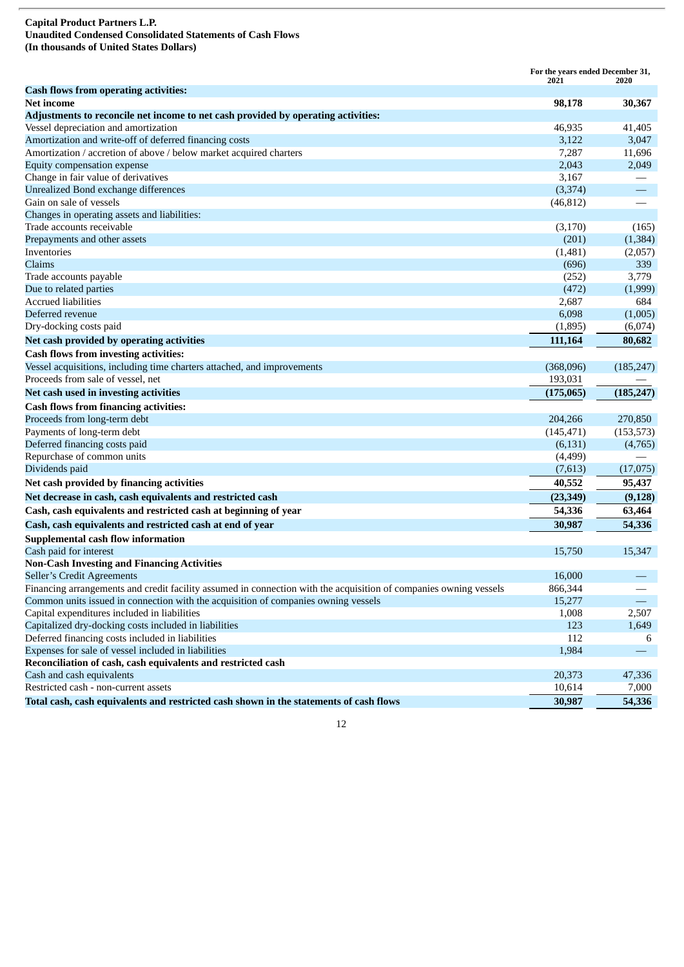#### **Capital Product Partners L.P. Unaudited Condensed Consolidated Statements of Cash Flows (In thousands of United States Dollars)**

|                                                                                                                   | For the years ended December 31,<br>2021 | 2020       |
|-------------------------------------------------------------------------------------------------------------------|------------------------------------------|------------|
| <b>Cash flows from operating activities:</b>                                                                      |                                          |            |
| Net income                                                                                                        | 98,178                                   | 30,367     |
| Adjustments to reconcile net income to net cash provided by operating activities:                                 |                                          |            |
| Vessel depreciation and amortization                                                                              | 46,935                                   | 41,405     |
| Amortization and write-off of deferred financing costs                                                            | 3,122                                    | 3,047      |
| Amortization / accretion of above / below market acquired charters                                                | 7,287                                    | 11,696     |
| Equity compensation expense                                                                                       | 2,043                                    | 2,049      |
| Change in fair value of derivatives                                                                               | 3,167                                    |            |
| Unrealized Bond exchange differences                                                                              | (3, 374)                                 |            |
| Gain on sale of vessels                                                                                           | (46, 812)                                |            |
| Changes in operating assets and liabilities:                                                                      |                                          |            |
| Trade accounts receivable                                                                                         | (3,170)                                  | (165)      |
| Prepayments and other assets                                                                                      | (201)                                    | (1, 384)   |
| Inventories                                                                                                       | (1,481)                                  | (2,057)    |
| Claims                                                                                                            | (696)                                    | 339        |
| Trade accounts payable                                                                                            | (252)                                    | 3,779      |
| Due to related parties                                                                                            | (472)                                    | (1,999)    |
| <b>Accrued liabilities</b>                                                                                        | 2,687                                    | 684        |
| Deferred revenue                                                                                                  | 6,098                                    | (1,005)    |
| Dry-docking costs paid                                                                                            | (1,895)                                  | (6,074)    |
| Net cash provided by operating activities                                                                         | 111,164                                  | 80,682     |
| <b>Cash flows from investing activities:</b>                                                                      |                                          |            |
| Vessel acquisitions, including time charters attached, and improvements                                           | (368,096)                                | (185, 247) |
| Proceeds from sale of vessel, net                                                                                 | 193,031                                  |            |
| Net cash used in investing activities                                                                             | (175,065)                                | (185, 247) |
| <b>Cash flows from financing activities:</b>                                                                      |                                          |            |
| Proceeds from long-term debt                                                                                      | 204,266                                  | 270,850    |
| Payments of long-term debt                                                                                        | (145, 471)                               | (153, 573) |
| Deferred financing costs paid                                                                                     | (6, 131)                                 | (4,765)    |
| Repurchase of common units                                                                                        | (4, 499)                                 |            |
| Dividends paid                                                                                                    | (7,613)                                  | (17,075)   |
| Net cash provided by financing activities                                                                         | 40,552                                   | 95,437     |
| Net decrease in cash, cash equivalents and restricted cash                                                        | (23, 349)                                | (9, 128)   |
| Cash, cash equivalents and restricted cash at beginning of year                                                   | 54,336                                   |            |
|                                                                                                                   |                                          | 63,464     |
| Cash, cash equivalents and restricted cash at end of year                                                         | 30,987                                   | 54,336     |
| <b>Supplemental cash flow information</b>                                                                         |                                          |            |
| Cash paid for interest                                                                                            | 15,750                                   | 15,347     |
| <b>Non-Cash Investing and Financing Activities</b>                                                                |                                          |            |
| Seller's Credit Agreements                                                                                        | 16,000                                   |            |
| Financing arrangements and credit facility assumed in connection with the acquisition of companies owning vessels | 866,344                                  |            |
| Common units issued in connection with the acquisition of companies owning vessels                                | 15,277                                   |            |
| Capital expenditures included in liabilities                                                                      | 1,008                                    | 2,507      |
| Capitalized dry-docking costs included in liabilities                                                             | 123                                      | 1,649      |
| Deferred financing costs included in liabilities                                                                  | 112                                      | 6          |
| Expenses for sale of vessel included in liabilities                                                               | 1,984                                    |            |
| Reconciliation of cash, cash equivalents and restricted cash                                                      |                                          |            |
| Cash and cash equivalents                                                                                         | 20,373                                   | 47,336     |
| Restricted cash - non-current assets                                                                              | 10,614                                   | 7,000      |
| Total cash, cash equivalents and restricted cash shown in the statements of cash flows                            | 30,987                                   | 54,336     |